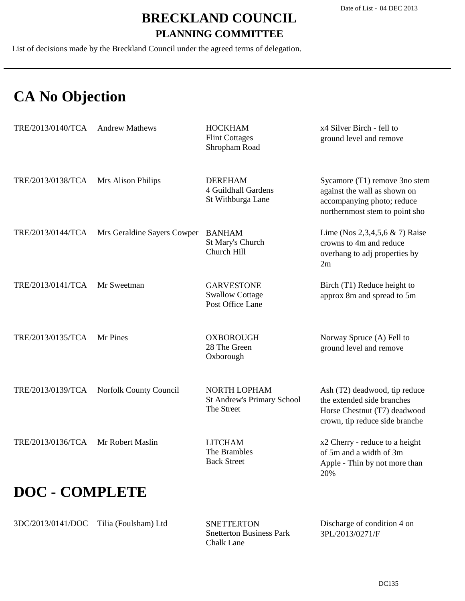List of decisions made by the Breckland Council under the agreed terms of delegation.

# **CA No Objection**

| TRE/2013/0140/TCA     | <b>Andrew Mathews</b>       | <b>HOCKHAM</b><br><b>Flint Cottages</b><br>Shropham Road        | x4 Silver Birch - fell to<br>ground level and remove                                                                          |
|-----------------------|-----------------------------|-----------------------------------------------------------------|-------------------------------------------------------------------------------------------------------------------------------|
| TRE/2013/0138/TCA     | Mrs Alison Philips          | <b>DEREHAM</b><br>4 Guildhall Gardens<br>St Withburga Lane      | Sycamore (T1) remove 3no stem<br>against the wall as shown on<br>accompanying photo; reduce<br>northernmost stem to point sho |
| TRE/2013/0144/TCA     | Mrs Geraldine Sayers Cowper | <b>BANHAM</b><br>St Mary's Church<br>Church Hill                | Lime (Nos 2,3,4,5,6 $\&$ 7) Raise<br>crowns to 4m and reduce<br>overhang to adj properties by<br>2m                           |
| TRE/2013/0141/TCA     | Mr Sweetman                 | <b>GARVESTONE</b><br><b>Swallow Cottage</b><br>Post Office Lane | Birch (T1) Reduce height to<br>approx 8m and spread to 5m                                                                     |
| TRE/2013/0135/TCA     | Mr Pines                    | <b>OXBOROUGH</b><br>28 The Green<br>Oxborough                   | Norway Spruce (A) Fell to<br>ground level and remove                                                                          |
| TRE/2013/0139/TCA     | Norfolk County Council      | NORTH LOPHAM<br><b>St Andrew's Primary School</b><br>The Street | Ash (T2) deadwood, tip reduce<br>the extended side branches<br>Horse Chestnut (T7) deadwood<br>crown, tip reduce side branche |
| TRE/2013/0136/TCA     | Mr Robert Maslin            | <b>LITCHAM</b><br>The Brambles<br><b>Back Street</b>            | x2 Cherry - reduce to a height<br>of 5m and a width of 3m<br>Apple - Thin by not more than<br>20%                             |
| <b>DOC - COMPLETE</b> |                             |                                                                 |                                                                                                                               |

3DC/2013/0141/DOC Tilia (Foulsham) Ltd

Snetterton Business Park Chalk Lane **SNETTERTON** 

Discharge of condition 4 on 3PL/2013/0271/F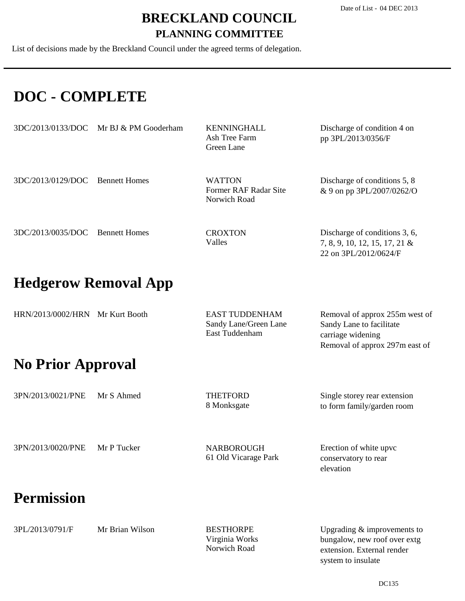List of decisions made by the Breckland Council under the agreed terms of delegation.

## **DOC - COMPLETE**

|                                 | $3DC/2013/0133/DOC$ Mr BJ & PM Gooderham | <b>KENNINGHALL</b><br>Ash Tree Farm<br>Green Lane      | Discharge of condition 4 on<br>pp 3PL/2013/0356/F                                       |
|---------------------------------|------------------------------------------|--------------------------------------------------------|-----------------------------------------------------------------------------------------|
| 3DC/2013/0129/DOC               | <b>Bennett Homes</b>                     | <b>WATTON</b><br>Former RAF Radar Site<br>Norwich Road | Discharge of conditions 5, 8<br>& 9 on pp $3PL/2007/0262$ /O                            |
| 3DC/2013/0035/DOC Bennett Homes |                                          | <b>CROXTON</b><br>Valles                               | Discharge of conditions 3, 6,<br>7, 8, 9, 10, 12, 15, 17, 21 &<br>22 on 3PL/2012/0624/F |

### **Hedgerow Removal App**

| HRN/2013/0002/HRN Mr Kurt Booth | EAST TUDDENHAM        | Removal of approx 255m west of |
|---------------------------------|-----------------------|--------------------------------|
|                                 | Sandy Lane/Green Lane | Sandy Lane to facilitate       |
|                                 | East Tuddenham        | carriage widening              |

### **No Prior Approval**

| 3PN/2013/0021/PNE Mr S Ahmed | THETFORD    | Single storey rear extension |
|------------------------------|-------------|------------------------------|
|                              | 8 Monksgate | to form family/garden room   |

3PN/2013/0020/PNE Mr P Tucker

61 Old Vicarage Park NARBOROUGH

Erection of white upvc conservatory to rear elevation

Removal of approx 297m east of

### **Permission**

| Mr Brian Wilson |  |
|-----------------|--|
|                 |  |

Virginia Works Norwich Road BESTHORPE

Upgrading & improvements to bungalow, new roof over extg extension. External render system to insulate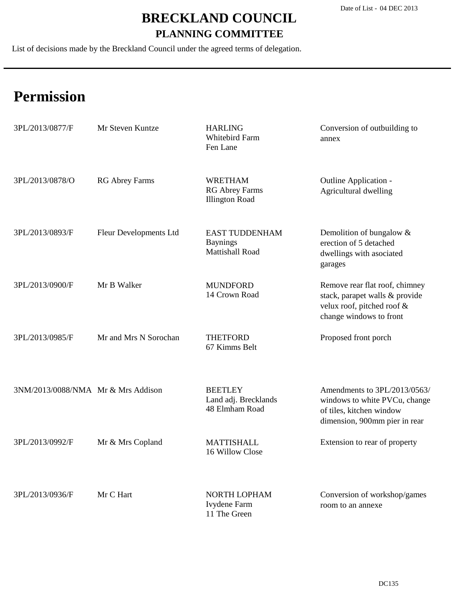List of decisions made by the Breckland Council under the agreed terms of delegation.

| 3PL/2013/0877/F                    | Mr Steven Kuntze       | <b>HARLING</b><br>Whitebird Farm<br>Fen Lane                       | Conversion of outbuilding to<br>annex                                                                                      |
|------------------------------------|------------------------|--------------------------------------------------------------------|----------------------------------------------------------------------------------------------------------------------------|
| 3PL/2013/0878/O                    | <b>RG Abrey Farms</b>  | <b>WRETHAM</b><br><b>RG Abrey Farms</b><br><b>Illington Road</b>   | Outline Application -<br>Agricultural dwelling                                                                             |
| 3PL/2013/0893/F                    | Fleur Developments Ltd | <b>EAST TUDDENHAM</b><br><b>Baynings</b><br><b>Mattishall Road</b> | Demolition of bungalow $&$<br>erection of 5 detached<br>dwellings with asociated<br>garages                                |
| 3PL/2013/0900/F                    | Mr B Walker            | <b>MUNDFORD</b><br>14 Crown Road                                   | Remove rear flat roof, chimney<br>stack, parapet walls & provide<br>velux roof, pitched roof &<br>change windows to front  |
| 3PL/2013/0985/F                    | Mr and Mrs N Sorochan  | <b>THETFORD</b><br>67 Kimms Belt                                   | Proposed front porch                                                                                                       |
| 3NM/2013/0088/NMA Mr & Mrs Addison |                        | <b>BEETLEY</b><br>Land adj. Brecklands<br>48 Elmham Road           | Amendments to 3PL/2013/0563/<br>windows to white PVCu, change<br>of tiles, kitchen window<br>dimension, 900mm pier in rear |
| 3PL/2013/0992/F                    | Mr & Mrs Copland       | <b>MATTISHALL</b><br>16 Willow Close                               | Extension to rear of property                                                                                              |
| 3PL/2013/0936/F                    | Mr C Hart              | NORTH LOPHAM<br>Ivydene Farm<br>11 The Green                       | Conversion of workshop/games<br>room to an annexe                                                                          |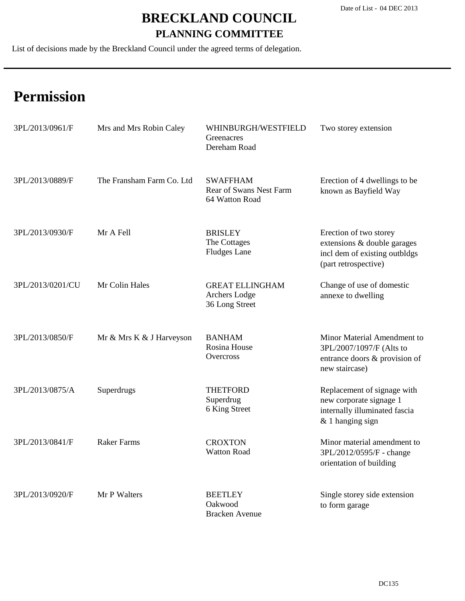List of decisions made by the Breckland Council under the agreed terms of delegation.

| 3PL/2013/0961/F  | Mrs and Mrs Robin Caley   | WHINBURGH/WESTFIELD<br>Greenacres<br>Dereham Road            | Two storey extension                                                                                           |
|------------------|---------------------------|--------------------------------------------------------------|----------------------------------------------------------------------------------------------------------------|
| 3PL/2013/0889/F  | The Fransham Farm Co. Ltd | <b>SWAFFHAM</b><br>Rear of Swans Nest Farm<br>64 Watton Road | Erection of 4 dwellings to be<br>known as Bayfield Way                                                         |
| 3PL/2013/0930/F  | Mr A Fell                 | <b>BRISLEY</b><br>The Cottages<br><b>Fludges Lane</b>        | Erection of two storey<br>extensions & double garages<br>incl dem of existing outbldgs<br>(part retrospective) |
| 3PL/2013/0201/CU | Mr Colin Hales            | <b>GREAT ELLINGHAM</b><br>Archers Lodge<br>36 Long Street    | Change of use of domestic<br>annexe to dwelling                                                                |
| 3PL/2013/0850/F  | Mr & Mrs K & J Harveyson  | <b>BANHAM</b><br>Rosina House<br>Overcross                   | Minor Material Amendment to<br>3PL/2007/1097/F (Alts to<br>entrance doors & provision of<br>new staircase)     |
| 3PL/2013/0875/A  | Superdrugs                | <b>THETFORD</b><br>Superdrug<br>6 King Street                | Replacement of signage with<br>new corporate signage 1<br>internally illuminated fascia<br>$&$ 1 hanging sign  |
| 3PL/2013/0841/F  | <b>Raker Farms</b>        | <b>CROXTON</b><br><b>Watton Road</b>                         | Minor material amendment to<br>3PL/2012/0595/F - change<br>orientation of building                             |
| 3PL/2013/0920/F  | Mr P Walters              | <b>BEETLEY</b><br>Oakwood<br><b>Bracken Avenue</b>           | Single storey side extension<br>to form garage                                                                 |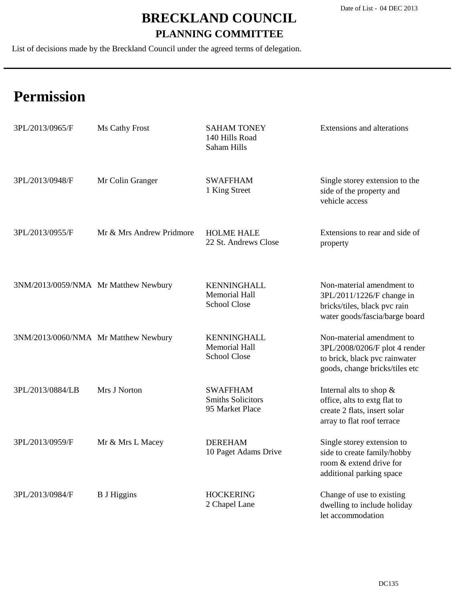List of decisions made by the Breckland Council under the agreed terms of delegation.

| 3PL/2013/0965/F                      | Ms Cathy Frost           | <b>SAHAM TONEY</b><br>140 Hills Road<br>Saham Hills               | Extensions and alterations                                                                                                    |
|--------------------------------------|--------------------------|-------------------------------------------------------------------|-------------------------------------------------------------------------------------------------------------------------------|
| 3PL/2013/0948/F                      | Mr Colin Granger         | <b>SWAFFHAM</b><br>1 King Street                                  | Single storey extension to the<br>side of the property and<br>vehicle access                                                  |
| 3PL/2013/0955/F                      | Mr & Mrs Andrew Pridmore | <b>HOLME HALE</b><br>22 St. Andrews Close                         | Extensions to rear and side of<br>property                                                                                    |
| 3NM/2013/0059/NMA Mr Matthew Newbury |                          | <b>KENNINGHALL</b><br><b>Memorial Hall</b><br><b>School Close</b> | Non-material amendment to<br>3PL/2011/1226/F change in<br>bricks/tiles, black pvc rain<br>water goods/fascia/barge board      |
| 3NM/2013/0060/NMA Mr Matthew Newbury |                          | <b>KENNINGHALL</b><br><b>Memorial Hall</b><br><b>School Close</b> | Non-material amendment to<br>3PL/2008/0206/F plot 4 render<br>to brick, black pvc rainwater<br>goods, change bricks/tiles etc |
| 3PL/2013/0884/LB                     | Mrs J Norton             | <b>SWAFFHAM</b><br><b>Smiths Solicitors</b><br>95 Market Place    | Internal alts to shop $\&$<br>office, alts to extg flat to<br>create 2 flats, insert solar<br>array to flat roof terrace      |
| 3PL/2013/0959/F                      | Mr & Mrs L Macey         | <b>DEREHAM</b><br>10 Paget Adams Drive                            | Single storey extension to<br>side to create family/hobby<br>room & extend drive for<br>additional parking space              |
| 3PL/2013/0984/F                      | <b>B</b> J Higgins       | <b>HOCKERING</b><br>2 Chapel Lane                                 | Change of use to existing<br>dwelling to include holiday<br>let accommodation                                                 |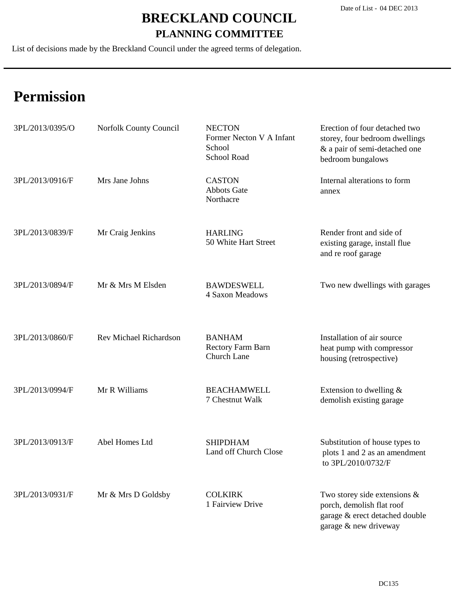List of decisions made by the Breckland Council under the agreed terms of delegation.

| 3PL/2013/0395/O | Norfolk County Council | <b>NECTON</b><br>Former Necton V A Infant<br>School<br>School Road | Erection of four detached two<br>storey, four bedroom dwellings<br>& a pair of semi-detached one<br>bedroom bungalows   |
|-----------------|------------------------|--------------------------------------------------------------------|-------------------------------------------------------------------------------------------------------------------------|
| 3PL/2013/0916/F | Mrs Jane Johns         | <b>CASTON</b><br><b>Abbots Gate</b><br>Northacre                   | Internal alterations to form<br>annex                                                                                   |
| 3PL/2013/0839/F | Mr Craig Jenkins       | <b>HARLING</b><br>50 White Hart Street                             | Render front and side of<br>existing garage, install flue<br>and re roof garage                                         |
| 3PL/2013/0894/F | Mr & Mrs M Elsden      | <b>BAWDESWELL</b><br>4 Saxon Meadows                               | Two new dwellings with garages                                                                                          |
| 3PL/2013/0860/F | Rev Michael Richardson | <b>BANHAM</b><br>Rectory Farm Barn<br>Church Lane                  | Installation of air source<br>heat pump with compressor<br>housing (retrospective)                                      |
| 3PL/2013/0994/F | Mr R Williams          | <b>BEACHAMWELL</b><br>7 Chestnut Walk                              | Extension to dwelling $&$<br>demolish existing garage                                                                   |
| 3PL/2013/0913/F | Abel Homes Ltd         | <b>SHIPDHAM</b><br>Land off Church Close                           | Substitution of house types to<br>plots 1 and 2 as an amendment<br>to 3PL/2010/0732/F                                   |
| 3PL/2013/0931/F | Mr & Mrs D Goldsby     | <b>COLKIRK</b><br>1 Fairview Drive                                 | Two storey side extensions $\&$<br>porch, demolish flat roof<br>garage & erect detached double<br>garage & new driveway |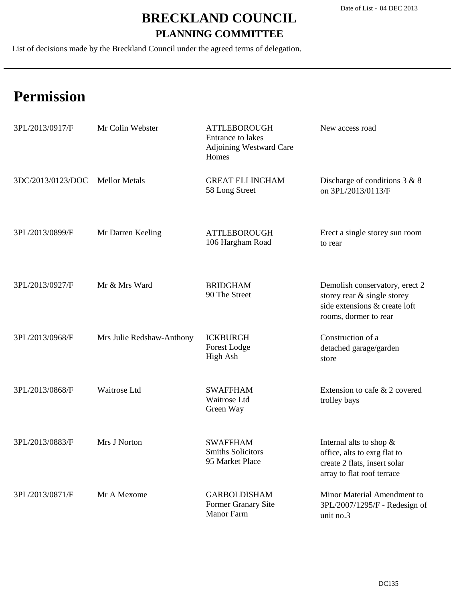List of decisions made by the Breckland Council under the agreed terms of delegation.

| 3PL/2013/0917/F   | Mr Colin Webster          | <b>ATTLEBOROUGH</b><br>Entrance to lakes<br><b>Adjoining Westward Care</b><br>Homes | New access road                                                                                                          |
|-------------------|---------------------------|-------------------------------------------------------------------------------------|--------------------------------------------------------------------------------------------------------------------------|
| 3DC/2013/0123/DOC | <b>Mellor Metals</b>      | <b>GREAT ELLINGHAM</b><br>58 Long Street                                            | Discharge of conditions $3 & 8$<br>on 3PL/2013/0113/F                                                                    |
| 3PL/2013/0899/F   | Mr Darren Keeling         | <b>ATTLEBOROUGH</b><br>106 Hargham Road                                             | Erect a single storey sun room<br>to rear                                                                                |
| 3PL/2013/0927/F   | Mr & Mrs Ward             | <b>BRIDGHAM</b><br>90 The Street                                                    | Demolish conservatory, erect 2<br>storey rear & single storey<br>side extensions & create loft<br>rooms, dormer to rear  |
| 3PL/2013/0968/F   | Mrs Julie Redshaw-Anthony | <b>ICKBURGH</b><br>Forest Lodge<br>High Ash                                         | Construction of a<br>detached garage/garden<br>store                                                                     |
| 3PL/2013/0868/F   | Waitrose Ltd              | <b>SWAFFHAM</b><br>Waitrose Ltd<br>Green Way                                        | Extension to cafe & 2 covered<br>trolley bays                                                                            |
| 3PL/2013/0883/F   | Mrs J Norton              | <b>SWAFFHAM</b><br><b>Smiths Solicitors</b><br>95 Market Place                      | Internal alts to shop $\&$<br>office, alts to extg flat to<br>create 2 flats, insert solar<br>array to flat roof terrace |
| 3PL/2013/0871/F   | Mr A Mexome               | <b>GARBOLDISHAM</b><br>Former Granary Site<br><b>Manor Farm</b>                     | Minor Material Amendment to<br>3PL/2007/1295/F - Redesign of<br>unit no.3                                                |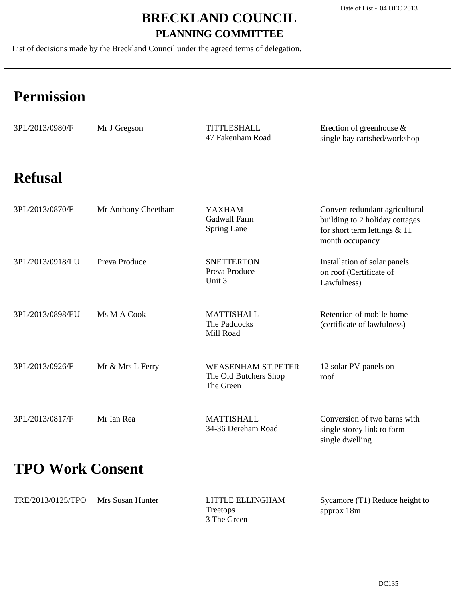List of decisions made by the Breckland Council under the agreed terms of delegation.

# **Permission**

| 3PL/2013/0980/F  | Mr J Gregson        | <b>TITTLESHALL</b><br>47 Fakenham Road                          | Erection of greenhouse $\&$<br>single bay cartshed/workshop                                                           |
|------------------|---------------------|-----------------------------------------------------------------|-----------------------------------------------------------------------------------------------------------------------|
| <b>Refusal</b>   |                     |                                                                 |                                                                                                                       |
| 3PL/2013/0870/F  | Mr Anthony Cheetham | <b>YAXHAM</b><br><b>Gadwall Farm</b><br>Spring Lane             | Convert redundant agricultural<br>building to 2 holiday cottages<br>for short term lettings $& 11$<br>month occupancy |
| 3PL/2013/0918/LU | Preva Produce       | <b>SNETTERTON</b><br>Preva Produce<br>Unit 3                    | Installation of solar panels<br>on roof (Certificate of<br>Lawfulness)                                                |
| 3PL/2013/0898/EU | Ms M A Cook         | <b>MATTISHALL</b><br>The Paddocks<br>Mill Road                  | Retention of mobile home<br>(certificate of lawfulness)                                                               |
| 3PL/2013/0926/F  | Mr & Mrs L Ferry    | <b>WEASENHAM ST.PETER</b><br>The Old Butchers Shop<br>The Green | 12 solar PV panels on<br>roof                                                                                         |
| 3PL/2013/0817/F  | Mr Ian Rea          | <b>MATTISHALL</b><br>34-36 Dereham Road                         | Conversion of two barns with<br>single storey link to form<br>single dwelling                                         |

## **TPO Work Consent**

| TRE/2013/0125/TPO | Mrs Susan Hunter | LITTLE ELLINGHAM | Sycamore (T1) Reduce height to |
|-------------------|------------------|------------------|--------------------------------|
|                   |                  | Treetops         | approx 18m                     |
|                   |                  | 3 The Green      |                                |